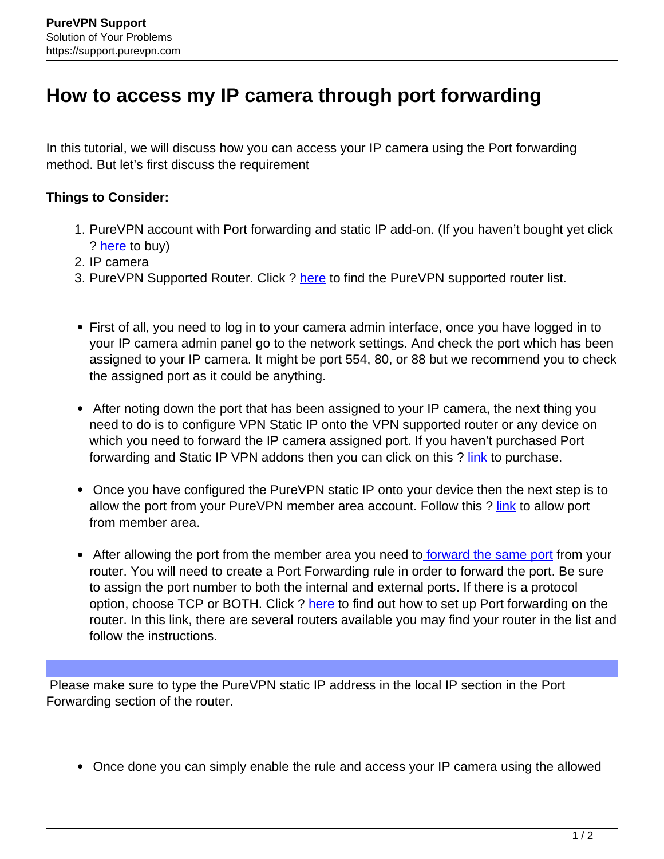## **How to access my IP camera through port forwarding**

In this tutorial, we will discuss how you can access your IP camera using the Port forwarding method. But let's first discuss the requirement

## **Things to Consider:**

- 1. PureVPN account with Port forwarding and static IP add-on. (If you haven't bought yet click ? [here](https://billing.purevpn.com/aff.php?aff=16817) to buy)
- 2. IP camera
- 3. PureVPN Supported Router. Click ? here to find the PureVPN supported router list.
- First of all, you need to log in to your camera admin interface, once you have logged in to your IP camera admin panel go to the network settings. And check the port which has been assigned to your IP camera. It might be port 554, 80, or 88 but we recommend you to check the assigned port as it could be anything.
- After noting down the port that has been assigned to your IP camera, the next thing you need to do is to configure VPN Static IP onto the VPN supported router or any device on which you need to forward the IP camera assigned port. If you haven't purchased Port forwarding and Static IP VPN addons then you can click on this ? link to purchase.
- Once you have configured the PureVPN static IP onto your device then the next step is to allow the port from your PureVPN member area account. Follow this ? link to allow port from member area.
- After allowing the port from the member area you need to forward the same port from your router. You will need to create a Port Forwarding rule in order to forward the port. Be sure to assign the port number to both the internal and external ports. If there is a protocol option, choose TCP or BOTH. Click ? here to find out how to set up Port forwarding on the router. In this link, there are several routers available you may find your router in the list and follow the instructions.

 Please make sure to type the PureVPN static IP address in the local IP section in the Port Forwarding section of the router.

Once done you can simply enable the rule and access your IP camera using the allowed